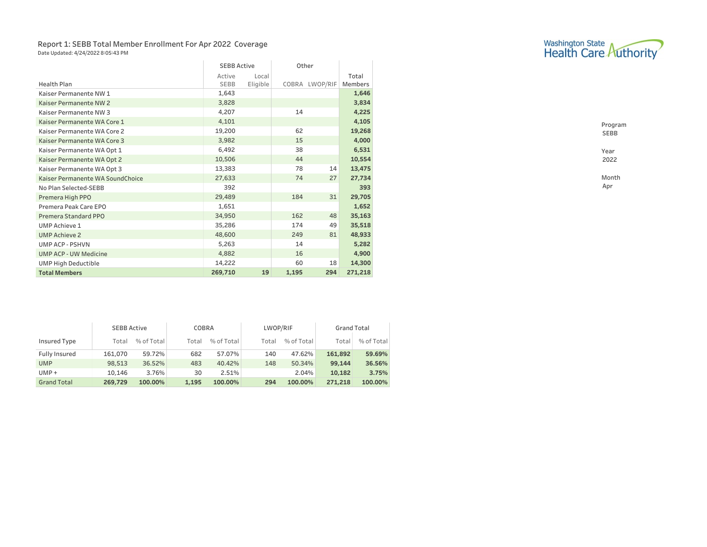### Report 1: SEBB Total Member Enrollment For Apr 2022 Coverage Date Updated: 4/24/2022 8:05:43 PM

|                                  | <b>SEBB Active</b> |          | Other |                |                |
|----------------------------------|--------------------|----------|-------|----------------|----------------|
|                                  | Active             | Local    |       |                | Total          |
| <b>Health Plan</b>               | <b>SEBB</b>        | Eligible |       | COBRA LWOP/RIF | <b>Members</b> |
| Kaiser Permanente NW 1           | 1,643              |          |       |                | 1,646          |
| Kaiser Permanente NW 2           | 3,828              |          |       |                | 3,834          |
| Kaiser Permanente NW 3           | 4,207              |          | 14    |                | 4,225          |
| Kaiser Permanente WA Core 1      | 4,101              |          |       |                | 4,105          |
| Kaiser Permanente WA Core 2      | 19,200             |          | 62    |                | 19,268         |
| Kaiser Permanente WA Core 3      | 3,982              |          | 15    |                | 4,000          |
| Kaiser Permanente WA Opt 1       | 6,492              |          | 38    |                | 6,531          |
| Kaiser Permanente WA Opt 2       | 10,506             |          | 44    |                | 10,554         |
| Kaiser Permanente WA Opt 3       | 13,383             |          | 78    | 14             | 13,475         |
| Kaiser Permanente WA SoundChoice | 27,633             |          | 74    | 27             | 27,734         |
| No Plan Selected-SEBB            | 392                |          |       |                | 393            |
| Premera High PPO                 | 29,489             |          | 184   | 31             | 29,705         |
| Premera Peak Care EPO            | 1,651              |          |       |                | 1,652          |
| Premera Standard PPO             | 34,950             |          | 162   | 48             | 35,163         |
| <b>UMP Achieve 1</b>             | 35,286             |          | 174   | 49             | 35,518         |
| <b>UMP Achieve 2</b>             | 48,600             |          | 249   | 81             | 48,933         |
| <b>UMP ACP - PSHVN</b>           | 5,263              |          | 14    |                | 5,282          |
| <b>UMP ACP - UW Medicine</b>     | 4,882              |          | 16    |                | 4,900          |
| <b>UMP High Deductible</b>       | 14,222             |          | 60    | 18             | 14,300         |
| <b>Total Members</b>             | 269,710            | 19       | 1,195 | 294            | 271,218        |

|                    | <b>SEBB Active</b> |            | COBRA |            | LWOP/RIF |            | <b>Grand Total</b> |            |  |
|--------------------|--------------------|------------|-------|------------|----------|------------|--------------------|------------|--|
| Insured Type       | Total              | % of Total | Total | % of Total | Total    | % of Total | Total              | % of Total |  |
| Fully Insured      | 161,070            | 59.72%     | 682   | 57.07%     | 140      | 47.62%     | 161,892            | 59.69%     |  |
| <b>UMP</b>         | 98,513             | 36.52%     | 483   | 40.42%     | 148      | 50.34%     | 99,144             | 36.56%     |  |
| $UMP +$            | 10.146             | 3.76%      | 30    | 2.51%      |          | 2.04%      | 10,182             | 3.75%      |  |
| <b>Grand Total</b> | 269,729            | 100.00%    | 1,195 | 100.00%    | 294      | 100.00%    | 271,218            | 100.00%    |  |



Program SEBB Year 2022 Month

Apr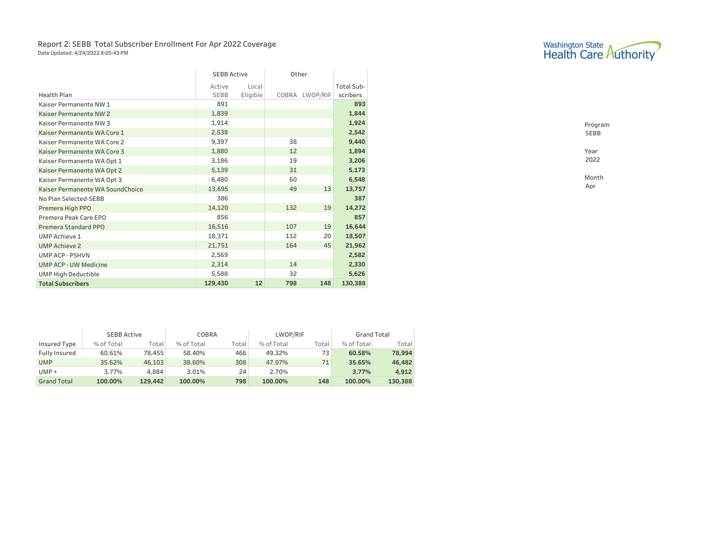### Report 2: SEBB Total Subscriber Enrollment For Apr 2022 Coverage Date Updated: 4/24/2022 8:05:43 PM

|                                  | <b>SEBB Active</b> |          | Other |                |            |
|----------------------------------|--------------------|----------|-------|----------------|------------|
|                                  | Active             | Local    |       |                | Total Sub- |
| <b>Health Plan</b>               | <b>SEBB</b>        | Eligible |       | COBRA LWOP/RIF | scribers   |
| Kaiser Permanente NW 1           | 891                |          |       |                | 893        |
| Kaiser Permanente NW 2           | 1,839              |          |       |                | 1,844      |
| Kaiser Permanente NW 3           | 1,914              |          |       |                | 1,924      |
| Kaiser Permanente WA Core 1      | 2,538              |          |       |                | 2,542      |
| Kaiser Permanente WA Core 2      | 9,397              |          | 38    |                | 9,440      |
| Kaiser Permanente WA Core 3      | 1,880              |          | 12    |                | 1,894      |
| Kaiser Permanente WA Opt 1       | 3,186              |          | 19    |                | 3,206      |
| Kaiser Permanente WA Opt 2       | 5,139              |          | 31    |                | 5,173      |
| Kaiser Permanente WA Opt 3       | 6,480              |          | 60    |                | 6,548      |
| Kaiser Permanente WA SoundChoice | 13,695             |          | 49    | 13             | 13,757     |
| No Plan Selected-SEBB            | 386                |          |       |                | 387        |
| Premera High PPO                 | 14,120             |          | 132   | 19             | 14,272     |
| Premera Peak Care EPO            | 856                |          |       |                | 857        |
| Premera Standard PPO             | 16,516             |          | 107   | 19             | 16,644     |
| <b>UMP Achieve 1</b>             | 18,371             |          | 112   | 20             | 18,507     |
| <b>UMP Achieve 2</b>             | 21,751             |          | 164   | 45             | 21,962     |
| <b>UMP ACP - PSHVN</b>           | 2,569              |          |       |                | 2,582      |
| <b>UMP ACP - UW Medicine</b>     | 2,314              |          | 14    |                | 2,330      |
| <b>UMP High Deductible</b>       | 5,588              |          | 32    |                | 5,626      |
| <b>Total Subscribers</b>         | 129,430            | 12       | 798   | 148            | 130,388    |

|                    | <b>SEBB Active</b> |         | COBRA      |       | LWOP/RIF   |        | <b>Grand Total</b> |         |  |
|--------------------|--------------------|---------|------------|-------|------------|--------|--------------------|---------|--|
| Insured Type       | % of Total         | Total   | % of Total | Total | % of Total | Total. | % of Total         | Total   |  |
| Fully Insured      | 60.61%             | 78,455  | 58.40%     | 466   | 49.32%     | 73     | 60.58%             | 78,994  |  |
| <b>UMP</b>         | 35.62%             | 46,103  | 38.60%     | 308   | 47.97%     | 71     | 35.65%             | 46,482  |  |
| $UMP +$            | 3.77%              | 4,884   | 3.01%      | 24    | 2.70%      |        | 3.77%              | 4,912   |  |
| <b>Grand Total</b> | 100.00%            | 129,442 | 100.00%    | 798   | 100.00%    | 148    | 100.00%            | 130,388 |  |

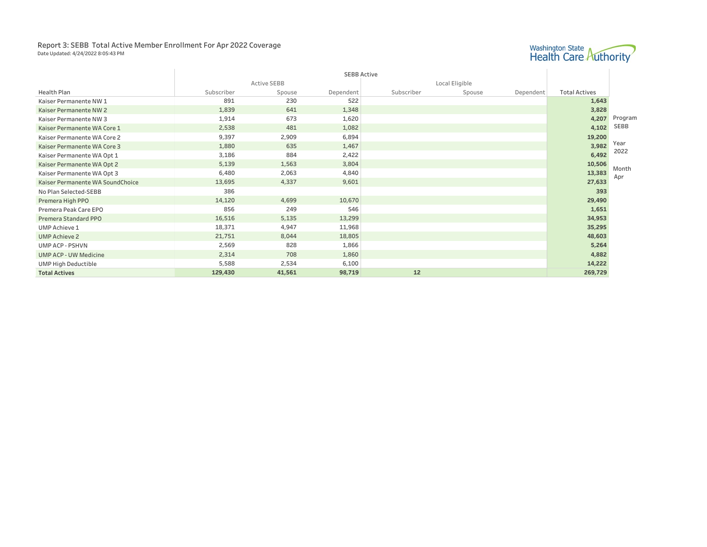#### Report 3: SEBB Total Active Member Enrollment For Apr 2022 Coverage Date Updated: 4/24/2022 8:05:43 PM



|                                  |            |                    | <b>SEBB Active</b> |            |                |           |                      |
|----------------------------------|------------|--------------------|--------------------|------------|----------------|-----------|----------------------|
|                                  |            | <b>Active SEBB</b> |                    |            | Local Eligible |           |                      |
| <b>Health Plan</b>               | Subscriber | Spouse             | Dependent          | Subscriber | Spouse         | Dependent | <b>Total Actives</b> |
| Kaiser Permanente NW 1           | 891        | 230                | 522                |            |                |           | 1,643                |
| Kaiser Permanente NW 2           | 1,839      | 641                | 1,348              |            |                |           | 3,828                |
| Kaiser Permanente NW 3           | 1,914      | 673                | 1,620              |            |                |           | 4,207                |
| Kaiser Permanente WA Core 1      | 2,538      | 481                | 1,082              |            |                |           | 4,102                |
| Kaiser Permanente WA Core 2      | 9,397      | 2,909              | 6,894              |            |                |           | 19,200               |
| Kaiser Permanente WA Core 3      | 1,880      | 635                | 1,467              |            |                |           | 3,982                |
| Kaiser Permanente WA Opt 1       | 3,186      | 884                | 2,422              |            |                |           | 6,492                |
| Kaiser Permanente WA Opt 2       | 5,139      | 1,563              | 3,804              |            |                |           | 10,506               |
| Kaiser Permanente WA Opt 3       | 6,480      | 2,063              | 4,840              |            |                |           | 13,383               |
| Kaiser Permanente WA SoundChoice | 13,695     | 4,337              | 9,601              |            |                |           | 27,633               |
| No Plan Selected-SEBB            | 386        |                    |                    |            |                |           | 393                  |
| Premera High PPO                 | 14,120     | 4,699              | 10,670             |            |                |           | 29,490               |
| Premera Peak Care EPO            | 856        | 249                | 546                |            |                |           | 1,651                |
| Premera Standard PPO             | 16,516     | 5,135              | 13,299             |            |                |           | 34,953               |
| <b>UMP Achieve 1</b>             | 18,371     | 4,947              | 11,968             |            |                |           | 35,295               |
| <b>UMP Achieve 2</b>             | 21,751     | 8,044              | 18,805             |            |                |           | 48,603               |
| <b>UMP ACP - PSHVN</b>           | 2,569      | 828                | 1,866              |            |                |           | 5,264                |
| <b>UMP ACP - UW Medicine</b>     | 2,314      | 708                | 1,860              |            |                |           | 4,882                |
| <b>UMP High Deductible</b>       | 5,588      | 2,534              | 6,100              |            |                |           | 14,222               |
| <b>Total Actives</b>             | 129,430    | 41,561             | 98,719             | 12         |                |           | 269,729              |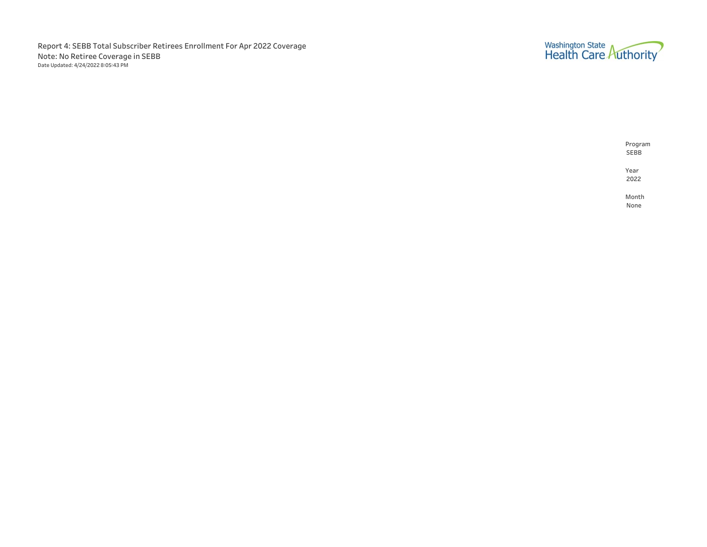Report 4: SEBB Total Subscriber Retirees Enrollment For Apr 2022 Coverage Note: No Retiree Coverage in SEBB Date Updated: 4/24/2022 8:05:43 PM



Program SEBB Year 2022 Month

None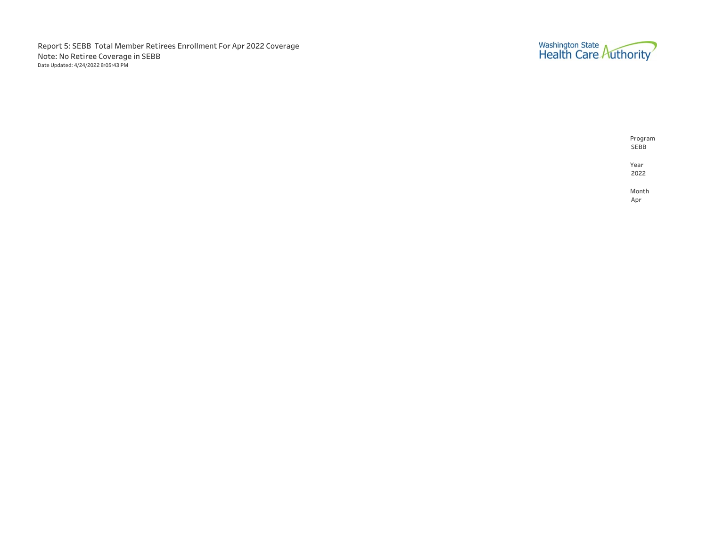Report 5: SEBB Total Member Retirees Enrollment For Apr 2022 Coverage Note: No Retiree Coverage in SEBB Date Updated: 4/24/2022 8:05:43 PM



SEBB Year 2022

Program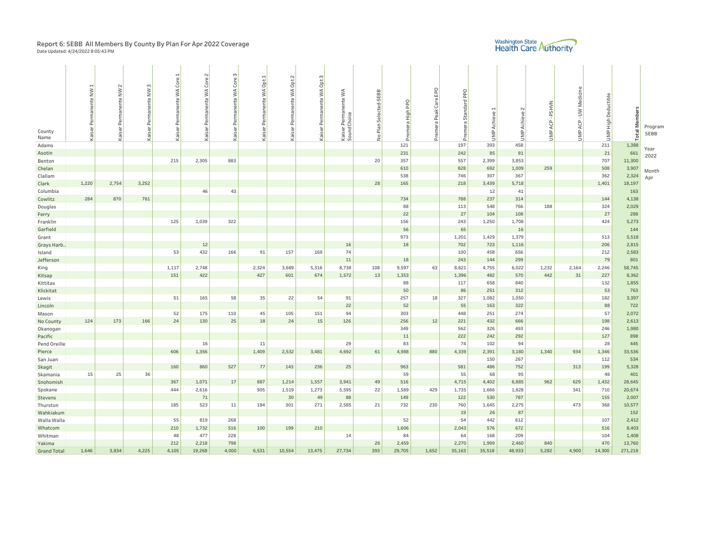## Report 6: SEBB All Members By County By Plan For Apr 2022 Coverage<br><sub>Date Updated: 4/24/2022 8:05:43 PM</sub>

# Washington State<br>Health Care Authority

|                    | $\mathbf{f}$         | $\sim$        | m             | $\frac{1}{e}$<br>š | Core <sub>2</sub> | Ğ<br>ğ               | Permanente WA Opt 1 | $\sim$<br>Permanente WA Opt | Permanente WA Opt 3 |                                  |                       |                  |              |            |                      |                    |              |                   |                    |                     |              |
|--------------------|----------------------|---------------|---------------|--------------------|-------------------|----------------------|---------------------|-----------------------------|---------------------|----------------------------------|-----------------------|------------------|--------------|------------|----------------------|--------------------|--------------|-------------------|--------------------|---------------------|--------------|
|                    | Kaiser Permanente NW | Permanente NW | Permanente NW | $\frac{4}{3}$      | Permanente WA     | Kaiser Permanente WA |                     |                             |                     | $\lesssim$                       |                       |                  | EPO          | <b>Ded</b> |                      |                    |              | ACP - UW Medicine |                    |                     |              |
|                    |                      |               |               | manente            |                   |                      |                     |                             |                     | Kaiser Permanente<br>SoundChoice | No Plan Selected-SEBB |                  | Carel        |            |                      |                    |              |                   | UMP High Deductibl |                     |              |
|                    |                      |               |               |                    |                   |                      |                     |                             |                     |                                  |                       | Premera High PPO |              | Standard   |                      |                    | <b>PSHVN</b> |                   |                    |                     |              |
|                    |                      |               |               | Per                |                   |                      |                     |                             |                     |                                  |                       |                  | Premera Peak |            | <b>UMP Achieve 1</b> | <b>UMP Achieve</b> |              |                   |                    | <b>Total Member</b> |              |
|                    |                      |               |               |                    |                   |                      |                     |                             |                     |                                  |                       |                  |              | Premera    |                      |                    | ACP          |                   |                    |                     | Program      |
| County<br>Name     |                      | Kaiser        | Kaiser I      | Kaiser             | Kaiser            |                      | Kaiser              | Kaiser                      | Kaiser              |                                  |                       |                  |              |            |                      |                    | UMP          | UMP               |                    |                     | SEBB         |
| Adams              |                      |               |               |                    |                   |                      |                     |                             |                     |                                  |                       | 121              |              | 197        | 393                  | 458                |              |                   | 211                | 1,388               |              |
| Asotin             |                      |               |               |                    |                   |                      |                     |                             |                     |                                  |                       | 231              |              | 242        | 85                   | 81                 |              |                   | 21                 | 661                 | Year         |
| Benton             |                      |               |               | 215                | 2,305             | 883                  |                     |                             |                     |                                  | 20                    | 357              |              | 557        | 2,399                | 3,853              |              |                   | 707                | 11,300              | 2022         |
| Chelan             |                      |               |               |                    |                   |                      |                     |                             |                     |                                  |                       | 610              |              | 828        | 692                  | 1,009              | 259          |                   | 508                | 3,907               |              |
| Clallam            |                      |               |               |                    |                   |                      |                     |                             |                     |                                  |                       | 538              |              | 746        | 307                  | 367                |              |                   | 362                | 2,324               | Month<br>Apr |
| Clark              | 1,220                | 2,754         | 3,252         |                    |                   |                      |                     |                             |                     |                                  | 28                    | 165              |              | 218        | 3,439                | 5,718              |              |                   | 1,401              | 18,197              |              |
| Columbia           |                      |               |               |                    | 46                | 43                   |                     |                             |                     |                                  |                       |                  |              |            | 12                   | 41                 |              |                   |                    | 163                 |              |
| Cowlitz            | 284                  | 870           | 761           |                    |                   |                      |                     |                             |                     |                                  |                       | 734              |              | 788        | 237                  | 314                |              |                   | 144                | 4,138               |              |
| Douglas            |                      |               |               |                    |                   |                      |                     |                             |                     |                                  |                       | 88               |              | 113        | 548                  | 766                | 188          |                   | 324                | 2,029               |              |
| Ferry              |                      |               |               |                    |                   |                      |                     |                             |                     |                                  |                       | 22               |              | 27         | 104                  | 108                |              |                   | 27                 | 288                 |              |
| Franklin           |                      |               |               | 125                | 1,039             | 322                  |                     |                             |                     |                                  |                       | 156              |              | 243        | 1,250                | 1,708              |              |                   | 424                | 5,273               |              |
| Garfield           |                      |               |               |                    |                   |                      |                     |                             |                     |                                  |                       | 56               |              | 65         |                      | 16                 |              |                   |                    | 144                 |              |
| Grant              |                      |               |               |                    |                   |                      |                     |                             |                     |                                  |                       | 973              |              | 1,201      | 1,429                | 1,379              |              |                   | 513                | 5,518               |              |
| Grays Harb         |                      |               |               |                    | 12                |                      |                     |                             |                     | 16                               |                       | 18               |              | 702        | 723                  | 1,116              |              |                   | 206                | 2,815               |              |
| Island             |                      |               |               | 53                 | 432               | 166                  | 91                  | 157                         | 169                 | 74                               |                       |                  |              | 100        | 458                  | 656                |              |                   | 212                | 2,583               |              |
| Jefferson          |                      |               |               |                    |                   |                      |                     |                             |                     | 11                               |                       | 18               |              | 243        | 144                  | 299                |              |                   | 79                 | 801                 |              |
| King               |                      |               |               | 1,117              | 2,748             |                      | 2,324               | 3,689                       | 5,316               | 8,738                            | 108                   | 9,597            | 63           | 8,621      | 4,755                | 6,022              | 1,232        | 2,164             | 2,246              | 58,745              |              |
| Kitsap             |                      |               |               | 151                | 422               |                      | 427                 | 601                         | 674                 | 1,572                            | 13                    | 1,353            |              | 1,396      | 482                  | 570                | 442          | 31                | 227                | 8,362               |              |
| Kittitas           |                      |               |               |                    |                   |                      |                     |                             |                     |                                  |                       | 88               |              | 117        | 658                  | 840                |              |                   | 132                | 1,855               |              |
| Klickitat          |                      |               |               | 51                 | 165               | 58                   | 35                  | 22                          | 54                  | 91                               |                       | 50<br>257        | 18           | 86<br>327  | 251<br>1,082         | 312<br>1,050       |              |                   | 53<br>182          | 763<br>3,397        |              |
| Lewis              |                      |               |               |                    |                   |                      |                     |                             |                     | 22                               |                       | 52               |              | 55         | 163                  | 322                |              |                   | 88                 | 722                 |              |
| Lincoln<br>Mason   |                      |               |               | 52                 | 175               | 110                  | 45                  | 105                         | 151                 | 94                               |                       | 303              |              | 448        | 251                  | 274                |              |                   | 57                 | 2,072               |              |
| No County          | 124                  | 173           | 166           | 24                 | 130               | 25                   | 18                  | 24                          | 15                  | 126                              |                       | 256              | $12$         | 221        | 432                  | 666                |              |                   | 198                | 2,613               |              |
| Okanogan           |                      |               |               |                    |                   |                      |                     |                             |                     |                                  |                       | 349              |              | 562        | 326                  | 493                |              |                   | 246                | 1,980               |              |
| Pacific            |                      |               |               |                    |                   |                      |                     |                             |                     |                                  |                       | 11               |              | 222        | 242                  | 292                |              |                   | 127                | 898                 |              |
| Pend Oreille       |                      |               |               |                    | 16                |                      | 11                  |                             |                     | 29                               |                       | 83               |              | 74         | 102                  | 94                 |              |                   | 28                 | 445                 |              |
| Pierce             |                      |               |               | 606                | 1,356             |                      | 1,409               | 2,532                       | 3,481               | 4,692                            | 61                    | 4,988            | 880          | 4,339      | 2,391                | 3,180              | 1,340        | 934               | 1,346              | 33,536              |              |
| San Juan           |                      |               |               |                    |                   |                      |                     |                             |                     |                                  |                       |                  |              |            | 150                  | 267                |              |                   | 112                | 534                 |              |
| Skagit             |                      |               |               | 160                | 860               | 527                  | 77                  | 143                         | 236                 | 25                               |                       | 963              |              | 581        | 486                  | 752                |              | 313               | 199                | 5,328               |              |
| Skamania           | 15                   | 25            | 36            |                    |                   |                      |                     |                             |                     |                                  |                       | 59               |              | 55         | 68                   | 95                 |              |                   | 48                 | 401                 |              |
| Snohomish          |                      |               |               | 367                | 1,071             | 17                   | 887                 | 1,214                       | 1,557               | 3,941                            | 49                    | 516              |              | 4,715      | 4,402                | 6,885              | 962          | 629               | 1,432              | 28,645              |              |
| Spokane            |                      |               |               | 444                | 2,616             |                      | 905                 | 1,519                       | 1,273               | 5,595                            | 22                    | 1,589            | 429          | 1,735      | 1,666                | 1,828              |              | 341               | 710                | 20,674              |              |
| Stevens            |                      |               |               |                    | 71                |                      |                     | 30                          | 49                  | 88                               |                       | 149              |              | 122        | 530                  | 787                |              |                   | 155                | 2,007               |              |
| Thurston           |                      |               |               | 185                | 523               | 11                   | 184                 | 301                         | 271                 | 2,585                            | 21                    | 732              | 230          | 760        | 1,645                | 2,275              |              | 473               | 368                | 10,577              |              |
| Wahkiakum          |                      |               |               |                    |                   |                      |                     |                             |                     |                                  |                       |                  |              | 19         | 26                   | 87                 |              |                   |                    | 152                 |              |
| Walla Walla        |                      |               |               | 55                 | 819               | 268                  |                     |                             |                     |                                  |                       | 52               |              | 54         | 442                  | 612                |              |                   | 107                | 2,412               |              |
| Whatcom            |                      |               |               | 210                | 1,732             | 516                  | 100                 | 199                         | 210                 |                                  |                       | 1,606            |              | 2,043      | 576                  | 672                |              |                   | 516                | 8,403               |              |
| Whitman            |                      |               |               | 48                 | 477               | 228                  |                     |                             |                     | 14                               |                       | 84               |              | 64         | 168                  | 209                |              |                   | 104                | 1,408               |              |
| Yakima             |                      |               |               | 212<br>4,105       | 2,218<br>19,268   | 798<br>4,000         | 6,531               |                             |                     |                                  | 26<br>393             | 2,459            | 1,652        | 2,270      | 1,999<br>35,518      | 2,460              | 840<br>5,282 |                   | 470<br>14,300      | 13,760              |              |
| <b>Grand Total</b> | 1,646                | 3,834         | 4,225         |                    |                   |                      |                     | 10,554                      | 13,475              | 27,734                           |                       | 29,705           |              | 35,163     |                      | 48,933             |              | 4,900             |                    | 271,218             |              |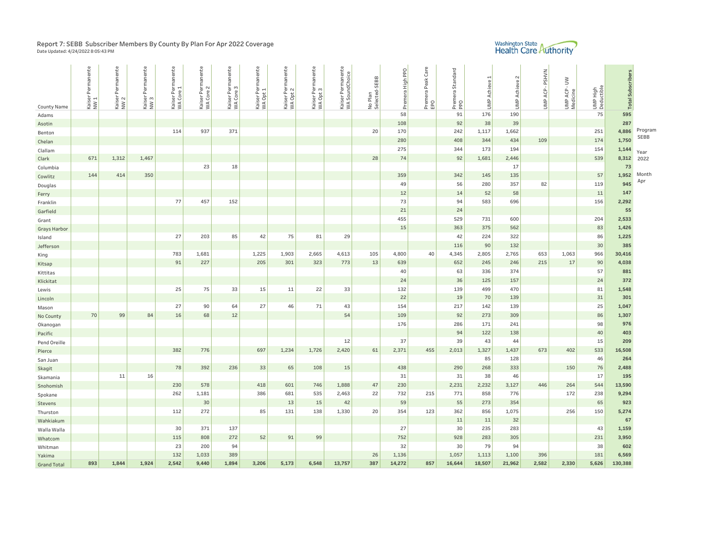## Report 7: SEBB Subscriber Members By County By Plan For Apr 2022 Coverage<br><sub>Date Updated: 4/24/2022 8:05:43 PM</sub>

# Washington State<br>Health Care Authority

| <b>County Name</b>  | Kaiser Permanente<br>NW 1 | ente<br>ā<br>Per<br>Kaiser<br>NW 2 | Kaiser Permanente<br>NW3 | Kaiser Permanente<br>WA Core 1 | anente<br>Kaiser Perma<br>WA Core 2 | nanente<br>Kaiser Perma<br>WA Core 3 | Kaiser Permanente<br>WA Opt 1 | Kaiser Permanente<br>WA Opt 2 | <b>anente</b><br>Kaiser Perma<br>WA Opt 3 | Kaiser Permanente<br>WA SoundChoice | No Plan<br>Selected-SEBB | Premera High PPO | Premera Peak Care<br>EPO | Standard<br>Premera S<br>PPO | $\mathbf{\mathbf{d}}$<br><b>UMP Achieve</b> | $\sim$<br>UMP Achieve | -PSHVN<br>UMP ACP- | UMP ACP - UW | UMP High<br>Deductible | <b>Total Subscribers</b> |         |
|---------------------|---------------------------|------------------------------------|--------------------------|--------------------------------|-------------------------------------|--------------------------------------|-------------------------------|-------------------------------|-------------------------------------------|-------------------------------------|--------------------------|------------------|--------------------------|------------------------------|---------------------------------------------|-----------------------|--------------------|--------------|------------------------|--------------------------|---------|
| Adams               |                           |                                    |                          |                                |                                     |                                      |                               |                               |                                           |                                     |                          | 58               |                          | 91                           | 176                                         | 190                   |                    |              | 75                     | 595                      |         |
| Asotin              |                           |                                    |                          |                                |                                     |                                      |                               |                               |                                           |                                     |                          | 108              |                          | 92                           | 38                                          | 39                    |                    |              |                        | 287                      |         |
| Benton              |                           |                                    |                          | 114                            | 937                                 | 371                                  |                               |                               |                                           |                                     | 20                       | 170              |                          | 242                          | 1,117                                       | 1,662                 |                    |              | 251                    | 4,886                    | Program |
| Chelan              |                           |                                    |                          |                                |                                     |                                      |                               |                               |                                           |                                     |                          | 280              |                          | 408                          | 344                                         | 434                   | 109                |              | 174                    | 1,750                    | SEBB    |
| Clallam             |                           |                                    |                          |                                |                                     |                                      |                               |                               |                                           |                                     |                          | 275              |                          | 344                          | 173                                         | 194                   |                    |              | 154                    | 1,144                    | Year    |
| Clark               | 671                       | 1,312                              | 1,467                    |                                |                                     |                                      |                               |                               |                                           |                                     | 28                       | 74               |                          | 92                           | 1,681                                       | 2,446                 |                    |              | 539                    | 8,312                    | 2022    |
| Columbia            |                           |                                    |                          |                                | 23                                  | 18                                   |                               |                               |                                           |                                     |                          |                  |                          |                              |                                             | 17                    |                    |              |                        | 73                       |         |
| Cowlitz             | 144                       | 414                                | 350                      |                                |                                     |                                      |                               |                               |                                           |                                     |                          | 359              |                          | 342                          | 145                                         | 135                   |                    |              | 57                     | 1,952                    | Month   |
| Douglas             |                           |                                    |                          |                                |                                     |                                      |                               |                               |                                           |                                     |                          | 49               |                          | 56                           | 280                                         | 357                   | 82                 |              | 119                    | 945                      | Apr     |
| Ferry               |                           |                                    |                          |                                |                                     |                                      |                               |                               |                                           |                                     |                          | 12               |                          | 14                           | 52                                          | 58                    |                    |              | 11                     | 147                      |         |
| Franklin            |                           |                                    |                          | 77                             | 457                                 | 152                                  |                               |                               |                                           |                                     |                          | 73               |                          | 94                           | 583                                         | 696                   |                    |              | 156                    | 2,292                    |         |
| Garfield            |                           |                                    |                          |                                |                                     |                                      |                               |                               |                                           |                                     |                          | 21               |                          | 24                           |                                             |                       |                    |              |                        | 55                       |         |
| Grant               |                           |                                    |                          |                                |                                     |                                      |                               |                               |                                           |                                     |                          | 455              |                          | 529                          | 731                                         | 600                   |                    |              | 204                    | 2,533                    |         |
| <b>Grays Harbor</b> |                           |                                    |                          |                                |                                     |                                      |                               |                               |                                           |                                     |                          | 15               |                          | 363                          | 375                                         | 562                   |                    |              | 83                     | 1,426                    |         |
| Island              |                           |                                    |                          | 27                             | 203                                 | 85                                   | 42                            | 75                            | 81                                        | 29                                  |                          |                  |                          | 42                           | 224                                         | 322                   |                    |              | 86                     | 1,225                    |         |
| Jefferson           |                           |                                    |                          |                                |                                     |                                      |                               |                               |                                           |                                     |                          |                  |                          | 116                          | 90                                          | 132                   |                    |              | 30                     | 385                      |         |
| King                |                           |                                    |                          | 783                            | 1,681                               |                                      | 1,225                         | 1,903                         | 2,665                                     | 4,613                               | 105                      | 4,800            | 40                       | 4,345                        | 2,805                                       | 2,765                 | 653                | 1,063        | 966                    | 30,416                   |         |
| Kitsap              |                           |                                    |                          | 91                             | 227                                 |                                      | 205                           | 301                           | 323                                       | 773                                 | 13                       | 639              |                          | 652                          | 245                                         | 246                   | 215                | $17$         | 90                     | 4,038                    |         |
| Kittitas            |                           |                                    |                          |                                |                                     |                                      |                               |                               |                                           |                                     |                          | 40               |                          | 63                           | 336                                         | 374                   |                    |              | 57                     | 881                      |         |
| Klickitat           |                           |                                    |                          |                                |                                     |                                      |                               |                               |                                           |                                     |                          | 24               |                          | 36                           | 125                                         | 157                   |                    |              | 24                     | 372                      |         |
| Lewis               |                           |                                    |                          | 25                             | 75                                  | 33                                   | 15                            | 11                            | 22                                        | 33                                  |                          | 132              |                          | 139                          | 499                                         | 470                   |                    |              | 81                     | 1,548                    |         |
| Lincoln             |                           |                                    |                          |                                |                                     |                                      |                               |                               |                                           |                                     |                          | 22               |                          | 19                           | 70                                          | 139                   |                    |              | 31                     | 301                      |         |
| Mason               |                           |                                    |                          | 27                             | 90                                  | 64                                   | 27                            | 46                            | 71                                        | 43                                  |                          | 154              |                          | 217                          | 142                                         | 139                   |                    |              | 25                     | 1,047                    |         |
| No County           | 70                        | 99                                 | 84                       | 16                             | 68                                  | 12                                   |                               |                               |                                           | 54                                  |                          | 109              |                          | 92                           | 273                                         | 309                   |                    |              | 86                     | 1,307                    |         |
| Okanogan            |                           |                                    |                          |                                |                                     |                                      |                               |                               |                                           |                                     |                          | 176              |                          | 286                          | 171                                         | 241                   |                    |              | 98                     | 976                      |         |
| Pacific             |                           |                                    |                          |                                |                                     |                                      |                               |                               |                                           |                                     |                          |                  |                          | 94                           | 122                                         | 138                   |                    |              | 40                     | 403                      |         |
| Pend Oreille        |                           |                                    |                          |                                |                                     |                                      |                               |                               |                                           | 12                                  |                          | 37               |                          | 39                           | 43                                          | 44                    |                    |              | 15                     | 209                      |         |
| Pierce              |                           |                                    |                          | 382                            | 776                                 |                                      | 697                           | 1,234                         | 1,726                                     | 2,420                               | 61                       | 2,371            | 455                      | 2,013                        | 1,327                                       | 1,437                 | 673                | 402          | 533                    | 16,508                   |         |
| San Juan            |                           |                                    |                          |                                |                                     |                                      |                               |                               |                                           |                                     |                          |                  |                          |                              | 85                                          | 128                   |                    |              | 46                     | 264                      |         |
| Skagit              |                           |                                    |                          | 78                             | 392                                 | 236                                  | 33                            | 65                            | 108                                       | 15                                  |                          | 438              |                          | 290                          | 268                                         | 333                   |                    | 150          | 76                     | 2,488                    |         |
| Skamania            |                           | 11                                 | 16                       |                                |                                     |                                      |                               |                               |                                           |                                     |                          | 31               |                          | 31                           | 38                                          | 46                    |                    |              | 17                     | 195                      |         |
| Snohomish           |                           |                                    |                          | 230                            | 578                                 |                                      | 418                           | 601                           | 746                                       | 1,888                               | 47                       | 230              |                          | 2,231                        | 2,232                                       | 3,127                 | 446                | 264          | 544                    | 13,590                   |         |
| Spokane             |                           |                                    |                          | 262                            | 1,181                               |                                      | 386                           | 681                           | 535                                       | 2,463                               | 22                       | 732              | 215                      | 771                          | 858                                         | 776                   |                    | 172          | 238                    | 9,294                    |         |
| Stevens             |                           |                                    |                          |                                | 30                                  |                                      |                               | 13                            | 15                                        | 42                                  |                          | 59               |                          | 55                           | 273                                         | 354                   |                    |              | 65                     | 923                      |         |
| Thurston            |                           |                                    |                          | 112                            | 272                                 |                                      | 85                            | 131                           | 138                                       | 1,330                               | 20                       | 354              | 123                      | 362                          | 856                                         | 1,075                 |                    | 256          | 150                    | 5,274                    |         |
| Wahkiakum           |                           |                                    |                          |                                |                                     |                                      |                               |                               |                                           |                                     |                          |                  |                          | 11                           | 11                                          | 32                    |                    |              |                        | 67                       |         |
| Walla Walla         |                           |                                    |                          | 30                             | 371                                 | 137                                  |                               |                               |                                           |                                     |                          | 27               |                          | 30                           | 235                                         | 283                   |                    |              | 43                     | 1,159                    |         |
| Whatcom             |                           |                                    |                          | 115                            | 808                                 | 272                                  | 52                            | 91                            | 99                                        |                                     |                          | 752              |                          | 928                          | 283                                         | 305                   |                    |              | 231                    | 3,950                    |         |
| Whitman             |                           |                                    |                          | 23                             | 200                                 | 94                                   |                               |                               |                                           |                                     |                          | 32               |                          | 30                           | 79                                          | 94                    |                    |              | 38                     | 602                      |         |
| Yakima              |                           |                                    |                          | 132                            | 1,033                               | 389                                  |                               |                               |                                           |                                     | 26                       | 1,136            |                          | 1,057                        | 1,113                                       | 1,100                 | 396                |              | 181                    | 6,569                    |         |
| <b>Grand Total</b>  | 893                       | 1,844                              | 1,924                    | 2,542                          | 9,440                               | 1,894                                | 3,206                         | 5,173                         | 6,548                                     | 13,757                              | 387                      | 14,272           | 857                      | 16,644                       | 18,507                                      | 21,962                | 2,582              | 2,330        | 5,626                  | 130,388                  |         |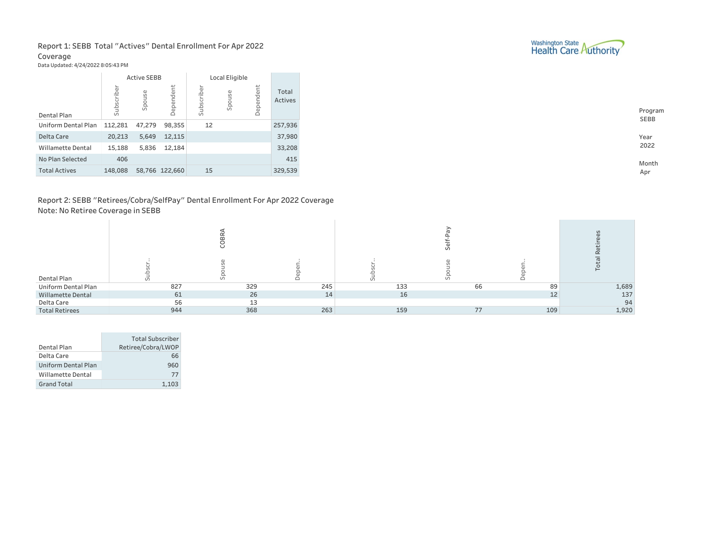### Report 1: SEBB Total "Actives" Dental Enrollment For Apr 2022 Coverage

Data Updated: 4/24/2022 8:05:43 PM

|                            |            | <b>Active SEBB</b> |                | Local Eligible |        |           |                  |
|----------------------------|------------|--------------------|----------------|----------------|--------|-----------|------------------|
| Dental Plan                | Subscriber | Spouse             | Dependent      | Subscriber     | Spouse | Dependent | Total<br>Actives |
| <b>Uniform Dental Plan</b> | 112,281    | 47,279             | 98,355         | 12             |        |           | 257,936          |
| Delta Care                 | 20,213     | 5,649              | 12,115         |                |        |           | 37,980           |
| <b>Willamette Dental</b>   | 15,188     | 5,836              | 12,184         |                |        |           | 33,208           |
| No Plan Selected           | 406        |                    |                |                |        |           | 415              |
| <b>Total Actives</b>       | 148,088    |                    | 58,766 122,660 | 15             |        |           | 329,539          |

## Report 2: SEBB "Retirees/Cobra/SelfPay" Dental Enrollment For Apr 2022 Coverage Note: No Retiree Coverage in SEBB

| Dental Plan              |     | ັ   |     |     | $\omega$ |     |       |
|--------------------------|-----|-----|-----|-----|----------|-----|-------|
| Uniform Dental Plan      | 827 | 329 | 245 | 133 | 66       | 89  | 1,689 |
| <b>Willamette Dental</b> | 61  | 26  | 14  | 16  |          | 12  | 137   |
| Delta Care               | 56  | 12  |     |     |          |     | 94    |
| <b>Total Retirees</b>    | 944 | 368 | 263 | 159 | 77       | 109 | 1,920 |

|                          | <b>Total Subscriber</b> |
|--------------------------|-------------------------|
| Dental Plan              | Retiree/Cobra/LWOP      |
| Delta Care               | 66                      |
| Uniform Dental Plan      | 960                     |
| <b>Willamette Dental</b> | 77                      |
| Grand Total              | 1.103                   |



Year 2 0 2 2

> Month A p r

Program S E B B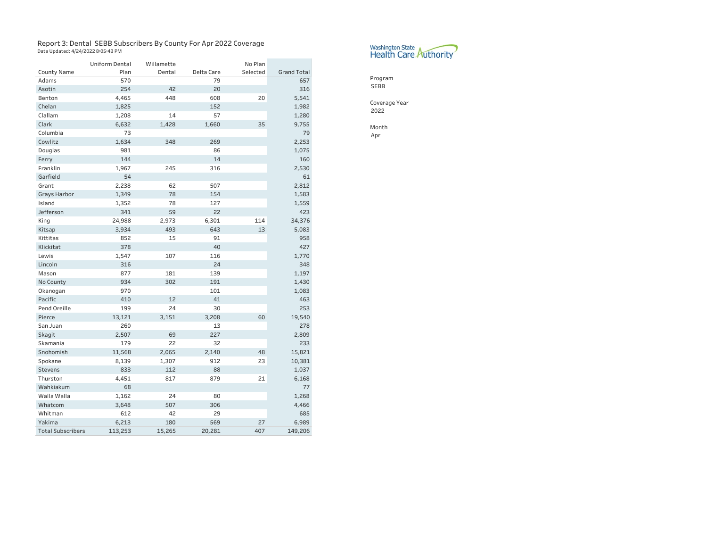# Report 3: Dental SEBB Subscribers By County For Apr 2022 Coverage<br><sub>Data Updated: 4/24/2022 8:05:43 PM</sub>

|                          | <b>Uniform Dental</b> | Willamette |            | No Plan  |                    |
|--------------------------|-----------------------|------------|------------|----------|--------------------|
| <b>County Name</b>       | Plan                  | Dental     | Delta Care | Selected | <b>Grand Total</b> |
| Adams                    | 570                   |            | 79         |          | 657                |
| Asotin                   | 254                   | 42         | 20         |          | 316                |
| Benton                   | 4,465                 | 448        | 608        | 20       | 5,541              |
| Chelan                   | 1,825                 |            | 152        |          | 1,982              |
| Clallam                  | 1,208                 | 14         | 57         |          | 1,280              |
| Clark                    | 6,632                 | 1,428      | 1,660      | 35       | 9,755              |
| Columbia                 | 73                    |            |            |          | 79                 |
| Cowlitz                  | 1,634                 | 348        | 269        |          | 2,253              |
| Douglas                  | 981                   |            | 86         |          | 1,075              |
| Ferry                    | 144                   |            | 14         |          | 160                |
| Franklin                 | 1,967                 | 245        | 316        |          | 2,530              |
| Garfield                 | 54                    |            |            |          | 61                 |
| Grant                    | 2,238                 | 62         | 507        |          | 2,812              |
| <b>Grays Harbor</b>      | 1,349                 | 78         | 154        |          | 1,583              |
| Island                   | 1,352                 | 78         | 127        |          | 1,559              |
| Jefferson                | 341                   | 59         | 22         |          | 423                |
| King                     | 24,988                | 2,973      | 6,301      | 114      | 34,376             |
| Kitsap                   | 3,934                 | 493        | 643        | 13       | 5,083              |
| Kittitas                 | 852                   | 15         | 91         |          | 958                |
| Klickitat                | 378                   |            | 40         |          | 427                |
| Lewis                    | 1,547                 | 107        | 116        |          | 1,770              |
| Lincoln                  | 316                   |            | 24         |          | 348                |
| Mason                    | 877                   | 181        | 139        |          | 1,197              |
| No County                | 934                   | 302        | 191        |          | 1,430              |
| Okanogan                 | 970                   |            | 101        |          | 1,083              |
| Pacific                  | 410                   | 12         | 41         |          | 463                |
| Pend Oreille             | 199                   | 24         | 30         |          | 253                |
| Pierce                   | 13,121                | 3,151      | 3,208      | 60       | 19,540             |
| San Juan                 | 260                   |            | 13         |          | 278                |
| Skagit                   | 2,507                 | 69         | 227        |          | 2,809              |
| Skamania                 | 179                   | 22         | 32         |          | 233                |
| Snohomish                | 11,568                | 2,065      | 2,140      | 48       | 15,821             |
| Spokane                  | 8,139                 | 1,307      | 912        | 23       | 10,381             |
| <b>Stevens</b>           | 833                   | 112        | 88         |          | 1,037              |
| Thurston                 | 4,451                 | 817        | 879        | 21       | 6,168              |
| Wahkiakum                | 68                    |            |            |          | 77                 |
| Walla Walla              | 1,162                 | 24         | 80         |          | 1,268              |
| Whatcom                  | 3,648                 | 507        | 306        |          | 4,466              |
| Whitman                  | 612                   | 42         | 29         |          | 685                |
| Yakima                   | 6,213                 | 180        | 569        | 27       | 6,989              |
| <b>Total Subscribers</b> | 113,253               | 15,265     | 20,281     | 407      | 149,206            |



Program SEBB

Coverage Year 2022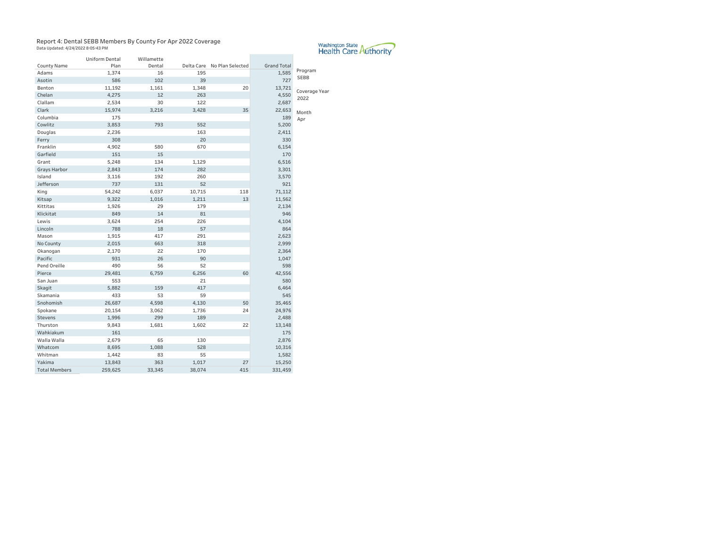#### Report 4: Dental SEBB Members By County For Apr 2022 Coverage Data Updated: 4/24/2022 8:05:43 PM

 $\mathcal{L}^{\text{max}}_{\text{max}}$  , and  $\mathcal{L}^{\text{max}}_{\text{max}}$ 

|                      | <b>Uniform Dental</b> | Willamette |        |                             |                    |                        |
|----------------------|-----------------------|------------|--------|-----------------------------|--------------------|------------------------|
| <b>County Name</b>   | Plan                  | Dental     |        | Delta Care No Plan Selected | <b>Grand Total</b> |                        |
| Adams                | 1,374                 | 16         | 195    |                             | 1,585              | Program<br><b>SEBB</b> |
| Asotin               | 586                   | 102        | 39     |                             | 727                |                        |
| Benton               | 11,192                | 1,161      | 1,348  | 20                          | 13,721             | Coverage Year          |
| Chelan               | 4,275                 | 12         | 263    |                             | 4,550              | 2022                   |
| Clallam              | 2,534                 | 30         | 122    |                             | 2,687              |                        |
| Clark                | 15,974                | 3,216      | 3,428  | 35                          | 22,653             | Month                  |
| Columbia             | 175                   |            |        |                             | 189                | Apr                    |
| Cowlitz              | 3,853                 | 793        | 552    |                             | 5,200              |                        |
| Douglas              | 2,236                 |            | 163    |                             | 2,411              |                        |
| Ferry                | 308                   |            | 20     |                             | 330                |                        |
| Franklin             | 4,902                 | 580        | 670    |                             | 6,154              |                        |
| Garfield             | 151                   | 15         |        |                             | 170                |                        |
| Grant                | 5,248                 | 134        | 1,129  |                             | 6,516              |                        |
| Grays Harbor         | 2,843                 | 174        | 282    |                             | 3,301              |                        |
| Island               | 3,116                 | 192        | 260    |                             | 3,570              |                        |
| Jefferson            | 737                   | 131        | 52     |                             | 921                |                        |
| King                 | 54,242                | 6,037      | 10,715 | 118                         | 71,112             |                        |
| Kitsap               | 9,322                 | 1,016      | 1,211  | 13                          | 11,562             |                        |
| Kittitas             | 1,926                 | 29         | 179    |                             | 2,134              |                        |
| Klickitat            | 849                   | 14         | 81     |                             | 946                |                        |
| Lewis                | 3,624                 | 254        | 226    |                             | 4,104              |                        |
| Lincoln              | 788                   | 18         | 57     |                             | 864                |                        |
| Mason                | 1,915                 | 417        | 291    |                             | 2,623              |                        |
| No County            | 2,015                 | 663        | 318    |                             | 2,999              |                        |
| Okanogan             | 2,170                 | 22         | 170    |                             | 2,364              |                        |
| Pacific              | 931                   | 26         | 90     |                             | 1,047              |                        |
| Pend Oreille         | 490                   | 56         | 52     |                             | 598                |                        |
| Pierce               | 29,481                | 6,759      | 6,256  | 60                          | 42,556             |                        |
| San Juan             | 553                   |            | 21     |                             | 580                |                        |
| Skagit               | 5,882                 | 159        | 417    |                             | 6,464              |                        |
| Skamania             | 433                   | 53         | 59     |                             | 545                |                        |
| Snohomish            | 26,687                | 4,598      | 4,130  | 50                          | 35,465             |                        |
| Spokane              | 20,154                | 3,062      | 1,736  | 24                          | 24,976             |                        |
| <b>Stevens</b>       | 1,996                 | 299        | 189    |                             | 2,488              |                        |
| Thurston             | 9,843                 | 1,681      | 1,602  | 22                          | 13,148             |                        |
| Wahkiakum            | 161                   |            |        |                             | 175                |                        |
| Walla Walla          | 2,679                 | 65         | 130    |                             | 2,876              |                        |
| Whatcom              | 8,695                 | 1,088      | 528    |                             | 10,316             |                        |
| Whitman              | 1,442                 | 83         | 55     |                             | 1,582              |                        |
| Yakima               | 13,843                | 363        | 1,017  | 27                          | 15,250             |                        |
| <b>Total Members</b> | 259,625               | 33,345     | 38,074 | 415                         | 331,459            |                        |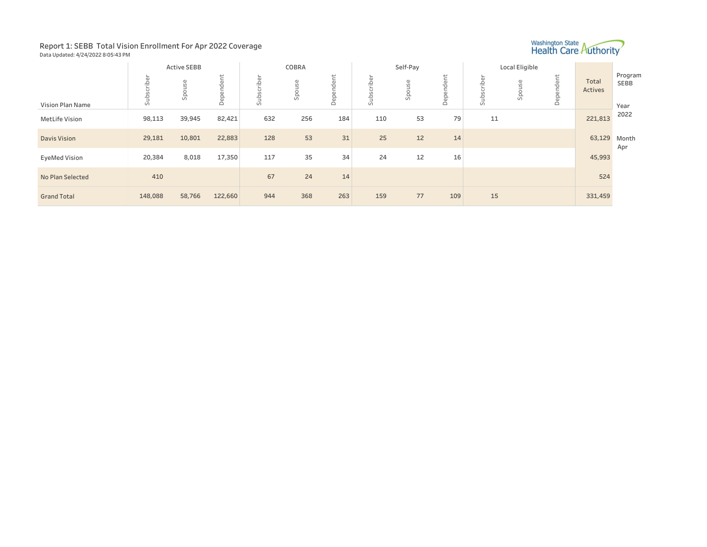#### Report 1: SEBB Total Vision Enrollment For Apr 2022 Coverage Data Updated: 4/24/2022 8:05:43 PM



|                       |                                                             | <b>Active SEBB</b> |           |                        | COBRA  |           |                                            | Self-Pay                                    |                                  |                                  | Local Eligible                       |           |                  |                         |
|-----------------------|-------------------------------------------------------------|--------------------|-----------|------------------------|--------|-----------|--------------------------------------------|---------------------------------------------|----------------------------------|----------------------------------|--------------------------------------|-----------|------------------|-------------------------|
| Vision Plan Name      | $\overline{\phantom{a}}$<br>$\overline{\omega}$<br>ē<br>sub | $\omega$<br>Spouse | Dependent | iber<br>$\overline{5}$ | Spouse | Dependent | ρF<br>슬<br>$\overline{ }$<br>Ln<br>م<br>GJ | $\mathbb \sigma$<br>$\overline{u}$<br>spous | dent<br>$\overline{6}$<br>흡<br>△ | criber<br>Ū)<br>Sub <sub>i</sub> | ΘS<br>$\circ$<br>츠<br>$\overline{u}$ | Dependent | Total<br>Actives | Program<br>SEBB<br>Year |
| <b>MetLife Vision</b> | 98,113                                                      | 39,945             | 82,421    | 632                    | 256    | 184       | 110                                        | 53                                          | 79                               | 11                               |                                      |           | 221,813          | 2022                    |
| <b>Davis Vision</b>   | 29,181                                                      | 10,801             | 22,883    | 128                    | 53     | 31        | 25                                         | 12                                          | 14                               |                                  |                                      |           | 63,129           | Month<br>Apr            |
| <b>EyeMed Vision</b>  | 20,384                                                      | 8,018              | 17,350    | 117                    | 35     | 34        | 24                                         | 12                                          | 16                               |                                  |                                      |           | 45,993           |                         |
| No Plan Selected      | 410                                                         |                    |           | 67                     | 24     | 14        |                                            |                                             |                                  |                                  |                                      |           | 524              |                         |
| <b>Grand Total</b>    | 148,088                                                     | 58,766             | 122,660   | 944                    | 368    | 263       | 159                                        | 77                                          | 109                              | 15                               |                                      |           | 331,459          |                         |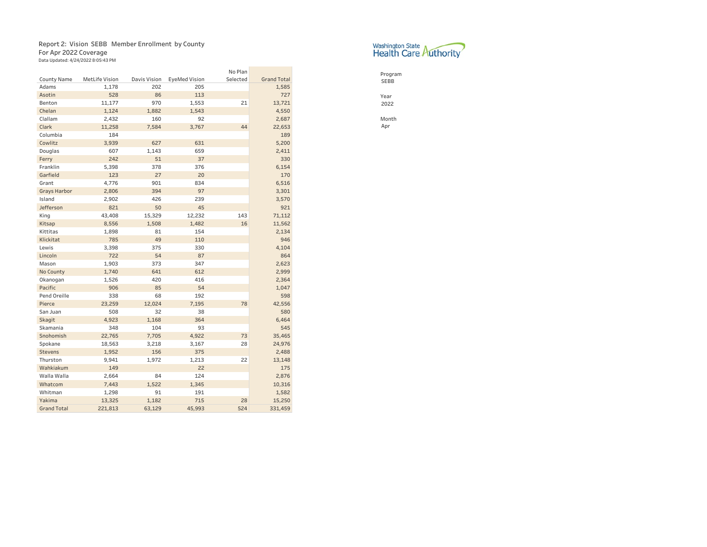# Report 2: Vision SEBB Member Enrollment by County

For Apr 2022 Coverage<br><sub>Data Updated: 4/24/2022 8:05:43 PM</sub>

|                     |                       |              |                      | No Plan  |                    |
|---------------------|-----------------------|--------------|----------------------|----------|--------------------|
| <b>County Name</b>  | <b>MetLife Vision</b> | Davis Vision | <b>EyeMed Vision</b> | Selected | <b>Grand Total</b> |
| Adams               | 1.178                 | 202          | 205                  |          | 1,585              |
| Asotin              | 528                   | 86           | 113                  |          | 727                |
| Benton              | 11,177                | 970          | 1,553                | 21       | 13,721             |
| Chelan              | 1,124                 | 1,882        | 1,543                |          | 4,550              |
| Clallam             | 2,432                 | 160          | 92                   |          | 2,687              |
| Clark               | 11,258                | 7.584        | 3.767                | 44       | 22,653             |
| Columbia            | 184                   |              |                      |          | 189                |
| Cowlitz             | 3,939                 | 627          | 631                  |          | 5,200              |
| Douglas             | 607                   | 1,143        | 659                  |          | 2,411              |
| Ferry               | 242                   | 51           | 37                   |          | 330                |
| Franklin            | 5,398                 | 378          | 376                  |          | 6,154              |
| Garfield            | 123                   | 27           | 20                   |          | 170                |
| Grant               | 4,776                 | 901          | 834                  |          | 6,516              |
| <b>Grays Harbor</b> | 2,806                 | 394          | 97                   |          | 3,301              |
| Island              | 2,902                 | 426          | 239                  |          | 3,570              |
| Jefferson           | 821                   | 50           | 45                   |          | 921                |
| King                | 43,408                | 15,329       | 12,232               | 143      | 71,112             |
| <b>Kitsap</b>       | 8,556                 | 1,508        | 1,482                | 16       | 11,562             |
| Kittitas            | 1,898                 | 81           | 154                  |          | 2,134              |
| Klickitat           | 785                   | 49           | 110                  |          | 946                |
| Lewis               | 3,398                 | 375          | 330                  |          | 4,104              |
| Lincoln             | 722                   | 54           | 87                   |          | 864                |
| Mason               | 1,903                 | 373          | 347                  |          | 2,623              |
| No County           | 1,740                 | 641          | 612                  |          | 2,999              |
| Okanogan            | 1,526                 | 420          | 416                  |          | 2,364              |
| Pacific             | 906                   | 85           | 54                   |          | 1,047              |
| Pend Oreille        | 338                   | 68           | 192                  |          | 598                |
| Pierce              | 23,259                | 12,024       | 7,195                | 78       | 42,556             |
| San Juan            | 508                   | 32           | 38                   |          | 580                |
| Skagit              | 4,923                 | 1,168        | 364                  |          | 6,464              |
| Skamania            | 348                   | 104          | 93                   |          | 545                |
| Snohomish           | 22,765                | 7,705        | 4,922                | 73       | 35,465             |
| Spokane             | 18,563                | 3,218        | 3,167                | 28       | 24,976             |
| <b>Stevens</b>      | 1,952                 | 156          | 375                  |          | 2,488              |
| Thurston            | 9,941                 | 1,972        | 1,213                | 22       | 13,148             |
| Wahkiakum           | 149                   |              | 22                   |          | 175                |
| Walla Walla         | 2,664                 | 84           | 124                  |          | 2,876              |
| Whatcom             | 7,443                 | 1,522        | 1,345                |          | 10,316             |
| Whitman             | 1,298                 | 91           | 191                  |          | 1,582              |
| Yakima              | 13,325                | 1,182        | 715                  | 28       | 15,250             |
| <b>Grand Total</b>  | 221,813               | 63,129       | 45,993               | 524      | 331,459            |



Program SEBB

Year 2022